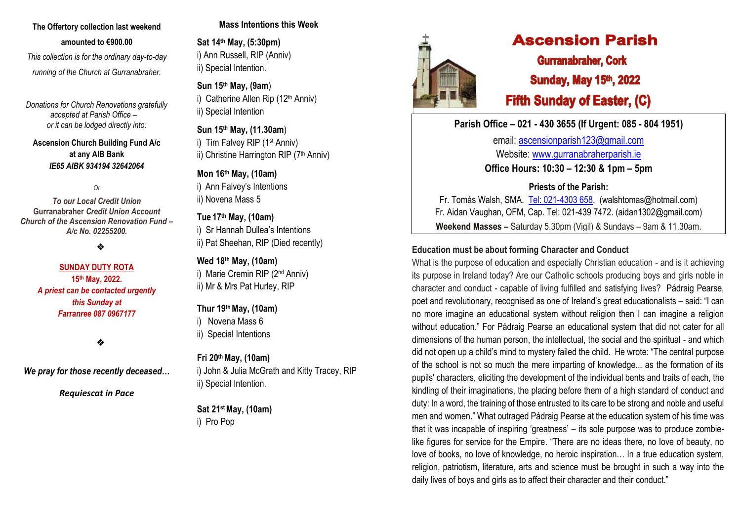# **The Offertory collection last weekend amounted to €900.00**

 *This collection is for the ordinary day-to-day running of the Church at Gurranabraher.*

*Donations for Church Renovations gratefully accepted at Parish Office – or it can be lodged directly into:*

**Ascension Church Building Fund A/c at any AIB Bank**  *IE65 AIBK 934194 32642064*

*Or* 

*To our Local Credit Union* **Gurranabraher** *Credit Union Account Church of the Ascension Renovation Fund – A/c No. 02255200.*

❖

# **SUNDAY DUTY ROTA 15th May, 2022.** *A priest can be contacted urgently this Sunday at Farranree 087 0967177*

❖

*We pray for those recently deceased…*

*Requiescat in Pace*

# **Mass Intentions this Week**

**Sat 14th May, (5:30pm)** i) Ann Russell, RIP (Anniv) ii) Special Intention.

**Sun 15th May, (9am**) i) Catherine Allen Rip (12<sup>th</sup> Anniv) ii) Special Intention

**Sun 15th May, (11.30am**) i) Tim Falvey RIP (1st Anniv) ii) Christine Harrington RIP (7<sup>th</sup> Anniv)

**Mon 16th May, (10am)** i) Ann Falvey's Intentions ii) Novena Mass 5

**Tue 17 th May, (10am)**

i) Sr Hannah Dullea's Intentions ii) Pat Sheehan, RIP (Died recently)

**Wed 18 th May, (10am)**

i) Marie Cremin RIP (2nd Anniv) ii) Mr & Mrs Pat Hurley, RIP

**Thur 19 thMay, (10am)**

i) Novena Mass 6

ii) Special Intentions

# **Fri 20thMay, (10am)**

i) John & Julia McGrath and Kitty Tracey, RIP ii) Special Intention.

**Sat 21stMay, (10am)** i) Pro Pop



# **Ascension Parish**

**Gurranabraher, Cork Sunday, May 15th, 2022 Fifth Sunday of Easter, (C)** 

**Parish Office – 021 - 430 3655 (If Urgent: 085 - 804 1951)**

email: [ascensionparish123@gmail.com](mailto:ascensionparish123@gmail.com) Website: [www.gurranabraherparish.ie](http://www.gurranabraherparish.ie/) **Office Hours: 10:30 – 12:30 & 1pm – 5pm**

**Priests of the Parish:**

Fr. Tomás Walsh, SMA. [Tel: 021-4303 658.](mailto:Tel:%20021-4303%20658) (walshtomas@hotmail.com) Fr. Aidan Vaughan, OFM, Cap. Tel: 021-439 7472. [\(aidan1302@gmail.com\)](mailto:aidan1302@gmail.com) **Weekend Masses –** Saturday 5.30pm (Vigil) & Sundays – 9am & 11.30am.

# **Education must be about forming Character and Conduct**

What is the purpose of education and especially Christian education - and is it achieving its purpose in Ireland today? Are our Catholic schools producing boys and girls noble in character and conduct - capable of living fulfilled and satisfying lives? Pádraig Pearse, poet and revolutionary, recognised as one of Ireland's great educationalists – said: "I can no more imagine an educational system without religion then I can imagine a religion without education." For Pádraig Pearse an educational system that did not cater for all dimensions of the human person, the intellectual, the social and the spiritual - and which did not open up a child's mind to mystery failed the child. He wrote: "The central purpose of the school is not so much the mere imparting of knowledge... as the formation of its pupils' characters, eliciting the development of the individual bents and traits of each, the kindling of their imaginations, the placing before them of a high standard of conduct and duty: In a word, the training of those entrusted to its care to be strong and noble and useful men and women." What outraged Pádraig Pearse at the education system of his time was that it was incapable of inspiring 'greatness' – its sole purpose was to produce zombielike figures for service for the Empire. "There are no ideas there, no love of beauty, no love of books, no love of knowledge, no heroic inspiration… In a true education system, religion, patriotism, literature, arts and science must be brought in such a way into the daily lives of boys and girls as to affect their character and their conduct."